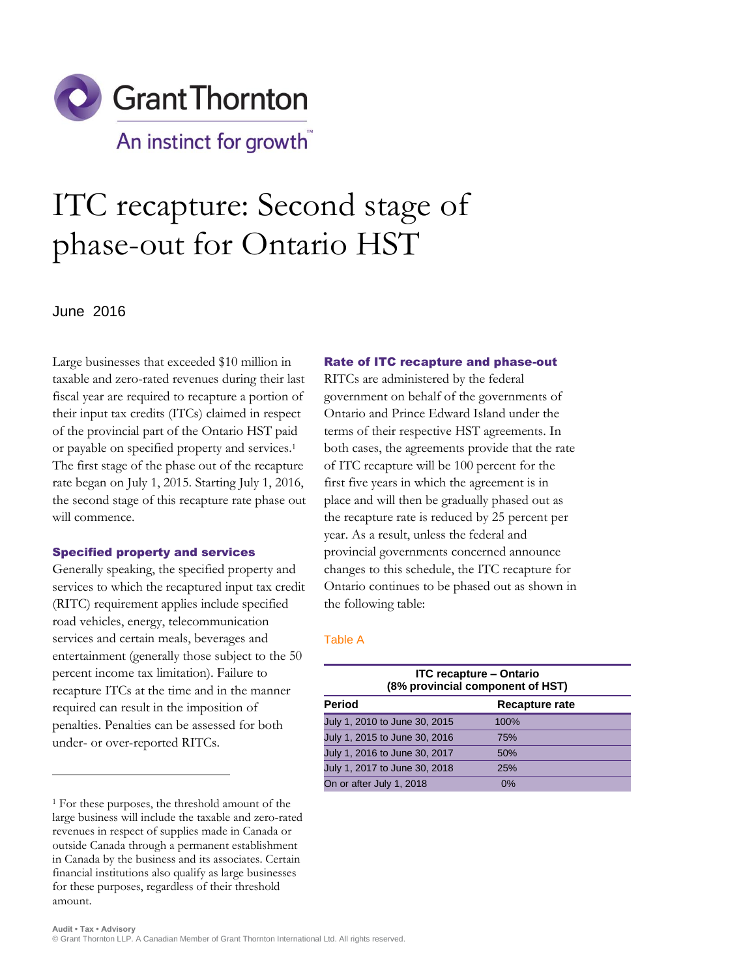

# ITC recapture: Second stage of phase-out for Ontario HST

June 2016

 $\overline{a}$ 

Large businesses that exceeded \$10 million in taxable and zero-rated revenues during their last fiscal year are required to recapture a portion of their input tax credits (ITCs) claimed in respect of the provincial part of the Ontario HST paid or payable on specified property and services. 1 The first stage of the phase out of the recapture rate began on July 1, 2015. Starting July 1, 2016, the second stage of this recapture rate phase out will commence.

### Specified property and services

Generally speaking, the specified property and services to which the recaptured input tax credit (RITC) requirement applies include specified road vehicles, energy, telecommunication services and certain meals, beverages and entertainment (generally those subject to the 50 percent income tax limitation). Failure to recapture ITCs at the time and in the manner required can result in the imposition of penalties. Penalties can be assessed for both under- or over-reported RITCs.

## Rate of ITC recapture and phase-out

RITCs are administered by the federal government on behalf of the governments of Ontario and Prince Edward Island under the terms of their respective HST agreements. In both cases, the agreements provide that the rate of ITC recapture will be 100 percent for the first five years in which the agreement is in place and will then be gradually phased out as the recapture rate is reduced by 25 percent per year. As a result, unless the federal and provincial governments concerned announce changes to this schedule, the ITC recapture for Ontario continues to be phased out as shown in the following table:

#### Table A

| <b>ITC recapture - Ontario</b><br>(8% provincial component of HST) |  |
|--------------------------------------------------------------------|--|
| Recapture rate                                                     |  |
| 100%                                                               |  |
| 75%                                                                |  |
| 50%                                                                |  |
| 25%                                                                |  |
| 0%                                                                 |  |
|                                                                    |  |

<sup>1</sup> For these purposes, the threshold amount of the large business will include the taxable and zero-rated revenues in respect of supplies made in Canada or outside Canada through a permanent establishment in Canada by the business and its associates. Certain financial institutions also qualify as large businesses for these purposes, regardless of their threshold amount.